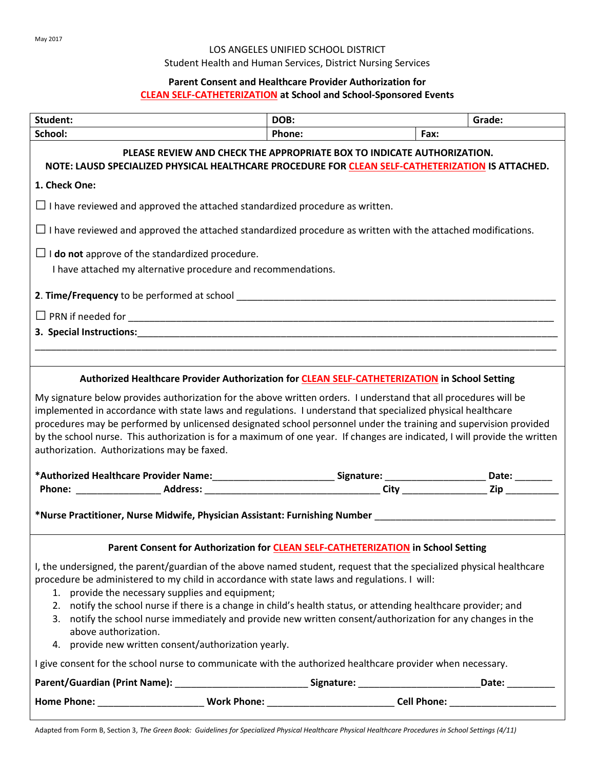### LOS ANGELES UNIFIED SCHOOL DISTRICT

Student Health and Human Services, District Nursing Services

## **Parent Consent and Healthcare Provider Authorization for CLEAN SELF-CATHETERIZATION at School and School-Sponsored Events**

| Student:                                                                                                                                                                                                                                                                                                                                                                                                       | DOB:          | Grade: |  |  |
|----------------------------------------------------------------------------------------------------------------------------------------------------------------------------------------------------------------------------------------------------------------------------------------------------------------------------------------------------------------------------------------------------------------|---------------|--------|--|--|
| School:                                                                                                                                                                                                                                                                                                                                                                                                        | <b>Phone:</b> | Fax:   |  |  |
| PLEASE REVIEW AND CHECK THE APPROPRIATE BOX TO INDICATE AUTHORIZATION.<br>NOTE: LAUSD SPECIALIZED PHYSICAL HEALTHCARE PROCEDURE FOR CLEAN SELF-CATHETERIZATION IS ATTACHED.                                                                                                                                                                                                                                    |               |        |  |  |
| 1. Check One:                                                                                                                                                                                                                                                                                                                                                                                                  |               |        |  |  |
| $\Box$ I have reviewed and approved the attached standardized procedure as written.                                                                                                                                                                                                                                                                                                                            |               |        |  |  |
| $\Box$ I have reviewed and approved the attached standardized procedure as written with the attached modifications.                                                                                                                                                                                                                                                                                            |               |        |  |  |
| $\Box$ <b>I do not</b> approve of the standardized procedure.                                                                                                                                                                                                                                                                                                                                                  |               |        |  |  |
| I have attached my alternative procedure and recommendations.                                                                                                                                                                                                                                                                                                                                                  |               |        |  |  |
|                                                                                                                                                                                                                                                                                                                                                                                                                |               |        |  |  |
|                                                                                                                                                                                                                                                                                                                                                                                                                |               |        |  |  |
|                                                                                                                                                                                                                                                                                                                                                                                                                |               |        |  |  |
|                                                                                                                                                                                                                                                                                                                                                                                                                |               |        |  |  |
| Authorized Healthcare Provider Authorization for <b>CLEAN SELF-CATHETERIZATION</b> in School Setting                                                                                                                                                                                                                                                                                                           |               |        |  |  |
| implemented in accordance with state laws and regulations. I understand that specialized physical healthcare<br>procedures may be performed by unlicensed designated school personnel under the training and supervision provided<br>by the school nurse. This authorization is for a maximum of one year. If changes are indicated, I will provide the written<br>authorization. Authorizations may be faxed. |               |        |  |  |
|                                                                                                                                                                                                                                                                                                                                                                                                                |               |        |  |  |
|                                                                                                                                                                                                                                                                                                                                                                                                                |               |        |  |  |
| *Nurse Practitioner, Nurse Midwife, Physician Assistant: Furnishing Number ___________________________________                                                                                                                                                                                                                                                                                                 |               |        |  |  |
| Parent Consent for Authorization for <b>CLEAN SELF-CATHETERIZATION</b> in School Setting                                                                                                                                                                                                                                                                                                                       |               |        |  |  |
| I, the undersigned, the parent/guardian of the above named student, request that the specialized physical healthcare<br>procedure be administered to my child in accordance with state laws and regulations. I will:<br>1. provide the necessary supplies and equipment;                                                                                                                                       |               |        |  |  |
| 2. notify the school nurse if there is a change in child's health status, or attending healthcare provider; and<br>3. notify the school nurse immediately and provide new written consent/authorization for any changes in the                                                                                                                                                                                 |               |        |  |  |
| above authorization.<br>4. provide new written consent/authorization yearly.                                                                                                                                                                                                                                                                                                                                   |               |        |  |  |
| I give consent for the school nurse to communicate with the authorized healthcare provider when necessary.                                                                                                                                                                                                                                                                                                     |               |        |  |  |
|                                                                                                                                                                                                                                                                                                                                                                                                                |               |        |  |  |
| Home Phone: _____________________________Work Phone: ____________________________Cell Phone: _________________                                                                                                                                                                                                                                                                                                 |               |        |  |  |
|                                                                                                                                                                                                                                                                                                                                                                                                                |               |        |  |  |

Adapted from Form B, Section 3, *The Green Book: Guidelines for Specialized Physical Healthcare Physical Healthcare Procedures in School Settings (4/11)*